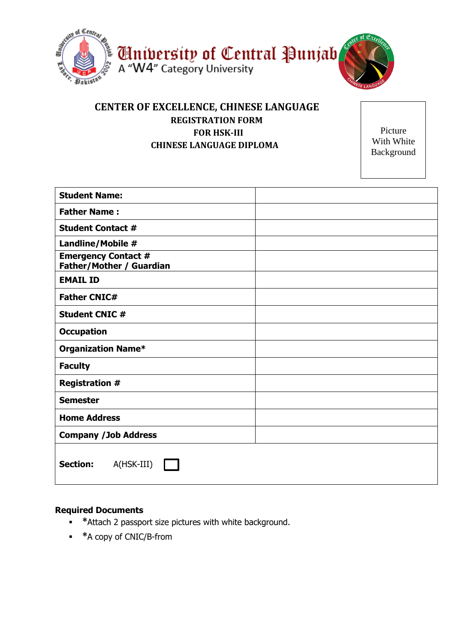

## **CENTER OF EXCELLENCE, CHINESE LANGUAGE REGISTRATION FORM FOR HSK-III CHINESE LANGUAGE DIPLOMA**

Picture With White Background

| <b>Student Name:</b>                                          |  |
|---------------------------------------------------------------|--|
| <b>Father Name:</b>                                           |  |
| <b>Student Contact #</b>                                      |  |
| Landline/Mobile #                                             |  |
| <b>Emergency Contact #</b><br><b>Father/Mother / Guardian</b> |  |
| <b>EMAIL ID</b>                                               |  |
| <b>Father CNIC#</b>                                           |  |
| <b>Student CNIC #</b>                                         |  |
| <b>Occupation</b>                                             |  |
| <b>Organization Name*</b>                                     |  |
| <b>Faculty</b>                                                |  |
| <b>Registration #</b>                                         |  |
| <b>Semester</b>                                               |  |
| <b>Home Address</b>                                           |  |
| <b>Company /Job Address</b>                                   |  |
| <b>Section:</b><br>A(HSK-III)                                 |  |

## **Required Documents**

- **\***Attach 2 passport size pictures with white background.
- **\***A copy of CNIC/B-from